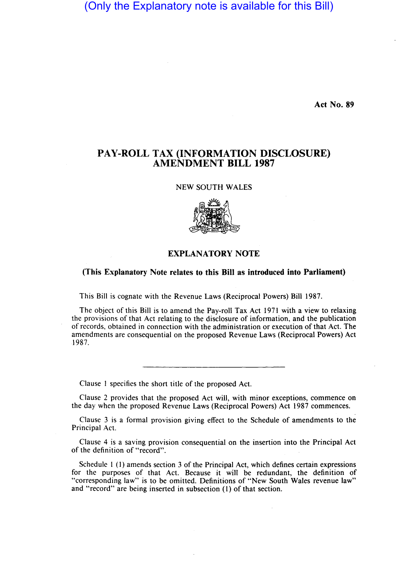# (Only the Explanatory note is available for this Bill)

Act No. 89

## PAY-ROLL TAX (INFORMATION DISCLOSURE) AMENDMENT BILL 1987

#### NEW SOUTH WALES



### EXPLANATORY NOTE

#### (This Explanatory Note relates to this Bill as introduced into Parliament)

This Bill is cognate with the Revenue Laws (Reciprocal Powers) Bill 1987.

The object of this Bill is to amend the Pay-roll Tax Act 1971 with a view to relaxing the provisions of that Act relating to the disclosure of information, and the publication of records, obtained in connection with the administration or execution of that Act. The amendments are consequential on the proposed Revenue Laws (Reciprocal Powers) Act 1987.

Clause 1 specifies the short title of the proposed Act.

Clause 2 provides that the proposed Act will, with minor exceptions, commence on the day when the proposed Revenue Laws (Reciprocal Powers) Act 1987 commences.

Clause 3 is a formal provision giving effect to the Schedule of amendments to the Principal Act.

Clause 4 is a saving provision consequential on the insertion into the Principal Act of the definition of "record".

Schedule 1 (1) amends section 3 of the Principal Act, which defines certain expressions for the purposes of that Act. Because it will be redundant, the definition of "corresponding law" is to be omitted. Definitions of "New South Wales revenue law" and "record" are being inserted in subsection (l) of that section.